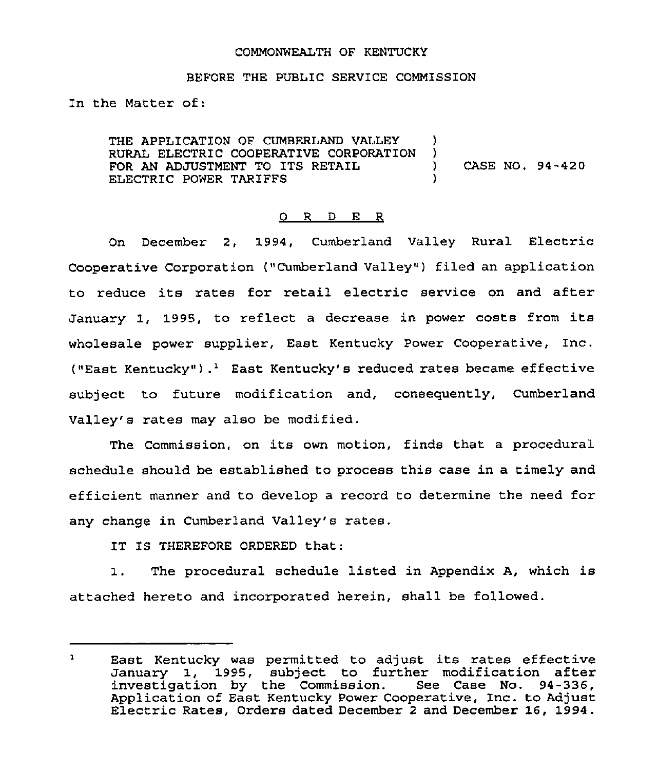### COMMONWEALTH OF KENTUCKY

### BEFORE THE PUBLIC SERVICE COMMISSION

In the Matter of:

THE APPLICATION OF CUMBERLAND VALLEY )<br>RURAL ELECTRIC COOPERATIVE CORPORATION ) RURAL ELECTRIC COOPERATIVE CORPORATION )<br>FOR AN ADJUSTMENT TO ITS RETAIL FOR AN ADJUSTMENT TO ITS RETAIL  $(1, 94-420)$ ELECTRIC POWER TARIFFS )

## 0 R <sup>D</sup> E R

On December 2, 1994, Cumberland Valley Rural Electric Cooperative Corporation ("Cumberland Valley") filed an application to reduce its rates for retail electric service on and after January 1, 1995, to reflect <sup>a</sup> decrease in power costs from its wholesale power supplier, East Kentucky Power Cooperative, Inc. ("East Kentucky").<sup>1</sup> East Kentucky's reduced rates became effective subject to future modification and, consequently, Cumberland Valley's rates may also be modified.

The Commission, on its own motion, finds that <sup>a</sup> procedural schedule should be established to process this case in a timely and efficient manner and to develop a record to determine the need for any change in Cumberland Valley's rates.

IT IS THEREFORE ORDERED that:

1. The procedural schedule listed in Appendix A, which is attached hereto and incorporated herein, shall be followed.

 $\mathbf{1}$ East Kentucky was permitted to adjust its rates effective January 1, 1995, subject to further modification after investigation by the Commission. See Case No. 94-336, Application of East Kentucky Power Cooperative, Inc. to Adjust Electric Rates, Orders dated December <sup>2</sup> and December 16, 1994.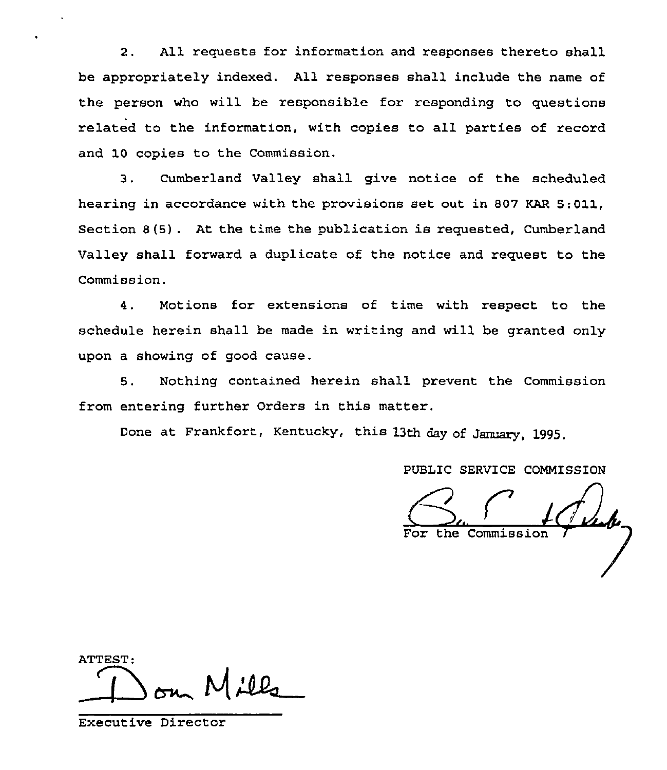2. All requests for information and responses thereto shall be appropriately indexed. All responses shall include the name of the person who will be responsible for responding to questions related to the information, with copies to all parties of record and 10 copies to the Commission.

3. Cumberland Valley shall give notice of the scheduled hearing in accordance with the provisions set out in 807 KAR 5:011, Section 8(5) . At the time the publication is requested, Cumberland Valley shall forward a duplicate of the notice and request to the Commission.

4. Motions for extensions of time with respect to the schedule herein shall be made in writing and will be granted only upon a showing of good cause.

5. Nothing contained herein shall prevent the Commission from entering further Orders in this matter.

Done at Frankfort, Kentucky, this 13th day of January, 1995.

PUBLIC SERVICE COMMISSION

the Commission

ATTEST:  $\overline{\phantom{a}}$ om Mills

Executive Director